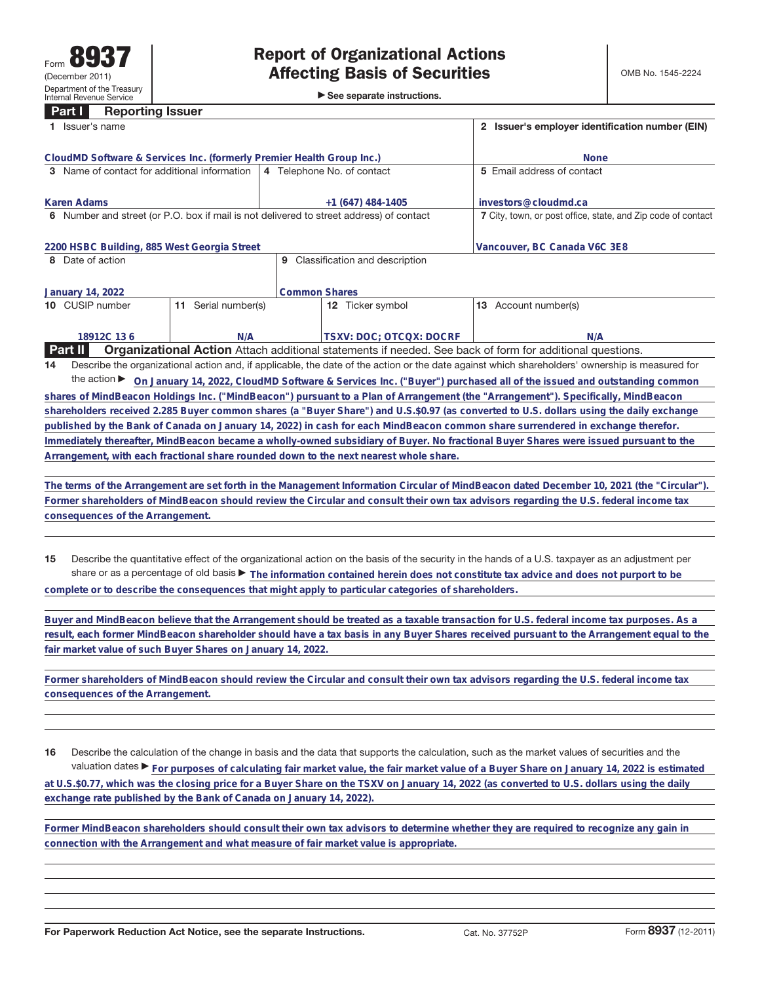## **Part I Reporting Issuer 1** Issuer's name **2 Issuer's employer identification number (EIN)**

| CloudMD Software & Services Inc. (formerly Premier Health Group Inc.)                   |                        |                                                                                                          | <b>None</b>                                                                                                                                     |
|-----------------------------------------------------------------------------------------|------------------------|----------------------------------------------------------------------------------------------------------|-------------------------------------------------------------------------------------------------------------------------------------------------|
| 3 Name of contact for additional information                                            |                        | 4 Telephone No. of contact                                                                               | 5 Email address of contact                                                                                                                      |
|                                                                                         |                        |                                                                                                          |                                                                                                                                                 |
| Karen Adams                                                                             |                        | $+1(647)$ 484-1405                                                                                       | investors@cloudmd.ca                                                                                                                            |
| 6 Number and street (or P.O. box if mail is not delivered to street address) of contact |                        |                                                                                                          | 7 City, town, or post office, state, and Zip code of contact                                                                                    |
|                                                                                         |                        |                                                                                                          |                                                                                                                                                 |
| 2200 HSBC Building, 885 West Georgia Street                                             |                        |                                                                                                          | Vancouver, BC Canada V6C 3E8                                                                                                                    |
| 8 Date of action                                                                        |                        | Classification and description<br>9                                                                      |                                                                                                                                                 |
|                                                                                         |                        |                                                                                                          |                                                                                                                                                 |
| January 14, 2022                                                                        |                        | <b>Common Shares</b>                                                                                     |                                                                                                                                                 |
| 10 CUSIP number                                                                         | Serial number(s)<br>11 | <b>12</b> Ticker symbol                                                                                  | <b>13</b> Account number(s)                                                                                                                     |
|                                                                                         |                        |                                                                                                          |                                                                                                                                                 |
| 18912C 136                                                                              | N/A                    | <b>TSXV: DOC: OTCOX: DOCRF</b>                                                                           | N/A                                                                                                                                             |
| <b>Part II</b>                                                                          |                        | Organizational Action Attach additional statements if needed. See back of form for additional questions. |                                                                                                                                                 |
| 14                                                                                      |                        |                                                                                                          | Describe the organizational action and, if applicable, the date of the action or the date against which shareholders' ownership is measured for |
| the action $\blacktriangleright$                                                        |                        |                                                                                                          | On January 14, 2022, CloudMD Software & Services Inc. ("Buyer") purchased all of the issued and outstanding common                              |
|                                                                                         |                        |                                                                                                          |                                                                                                                                                 |

**shares of MindBeacon Holdings Inc. ("MindBeacon") pursuant to a Plan of Arrangement (the "Arrangement"). Specifically, MindBeacon shareholders received 2.285 Buyer common shares (a "Buyer Share") and U.S.\$0.97 (as converted to U.S. dollars using the daily exchange published by the Bank of Canada on January 14, 2022) in cash for each MindBeacon common share surrendered in exchange therefor. Immediately thereafter, MindBeacon became a wholly-owned subsidiary of Buyer. No fractional Buyer Shares were issued pursuant to the Arrangement, with each fractional share rounded down to the next nearest whole share.**

**The terms of the Arrangement are set forth in the Management Information Circular of MindBeacon dated December 10, 2021 (the "Circular"). Former shareholders of MindBeacon should review the Circular and consult their own tax advisors regarding the U.S. federal income tax consequences of the Arrangement.**

**15** Describe the quantitative effect of the organizational action on the basis of the security in the hands of a U.S. taxpayer as an adjustment per share or as a percentage of old basis ▶ The information contained herein does not constitute tax advice and does not purport to be **complete or to describe the consequences that might apply to particular categories of shareholders.**

**Buyer and MindBeacon believe that the Arrangement should be treated as a taxable transaction for U.S. federal income tax purposes. As a result, each former MindBeacon shareholder should have a tax basis in any Buyer Shares received pursuant to the Arrangement equal to the fair market value of such Buyer Shares on January 14, 2022.**

**Former shareholders of MindBeacon should review the Circular and consult their own tax advisors regarding the U.S. federal income tax consequences of the Arrangement.**

**16** Describe the calculation of the change in basis and the data that supports the calculation, such as the market values of securities and the valuation dates ▶ For purposes of calculating fair market value, the fair market value of a Buyer Share on January 14, 2022 is estimated **at U.S.\$0.77, which was the closing price for a Buyer Share on the TSXV on January 14, 2022 (as converted to U.S. dollars using the daily exchange rate published by the Bank of Canada on January 14, 2022).**

**Former MindBeacon shareholders should consult their own tax advisors to determine whether they are required to recognize any gain in connection with the Arrangement and what measure of fair market value is appropriate.**